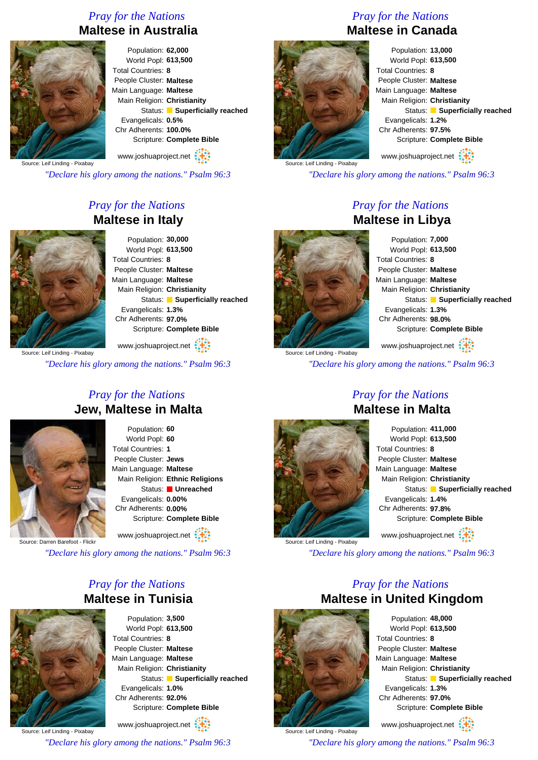# *Pray for the Nations* **Maltese in Australia**



Population: **62,000** World Popl: **613,500** Total Countries: **8** People Cluster: **Maltese** Main Language: **Maltese** Main Religion: **Christianity** Status: **Superficially reached** Evangelicals: **0.5%** Chr Adherents: **100.0%** Scripture: **Complete Bible** www.joshuaproject.net

Source: Leif Linding - Pixabay

*"Declare his glory among the nations." Psalm 96:3*

# *Pray for the Nations* **Maltese in Italy**



Population: **30,000** World Popl: **613,500** Total Countries: **8** People Cluster: **Maltese** Main Language: **Maltese** Main Religion: **Christianity** Status: **Superficially reached** Evangelicals: **1.3%** Chr Adherents: **97.0%** Scripture: **Complete Bible**

ource: Leif Linding - Pixabay www.joshuaproject.net

*"Declare his glory among the nations." Psalm 96:3*

#### *Pray for the Nations* **Jew, Maltese in Malta**



Population: **60** World Popl: **60** Total Countries: **1** People Cluster: **Jews** Main Language: **Maltese** Main Religion: **Ethnic Religions** Status: **Unreached** Evangelicals: **0.00%** Chr Adherents: **0.00%** Scripture: **Complete Bible** www.joshuaproject.net

Source: Darren Barefoot - Flickr

*"Declare his glory among the nations." Psalm 96:3*

### *Pray for the Nations* **Maltese in Tunisia**



Population: **3,500** World Popl: **613,500** Total Countries: **8** People Cluster: **Maltese** Main Language: **Maltese** Main Religion: **Christianity** Status: **Superficially reached** Evangelicals: **1.0%** Chr Adherents: **92.0%** Scripture: **Complete Bible**

Source: Leif Linding - Pixabay www.joshuaproject.net *"Declare his glory among the nations." Psalm 96:3*

## *Pray for the Nations* **Maltese in Canada**



Population: **13,000** World Popl: **613,500** Total Countries: **8** People Cluster: **Maltese** Main Language: **Maltese** Main Religion: **Christianity** Status: **Superficially reached** Evangelicals: **1.2%** Chr Adherents: **97.5%** Scripture: **Complete Bible** www.joshuaproject.net

Source: Leif Linding - Pixabay

*"Declare his glory among the nations." Psalm 96:3*

## *Pray for the Nations* **Maltese in Libya**



Source: Leif Linding - Pixabay

Population: **7,000** World Popl: **613,500** Total Countries: **8** People Cluster: **Maltese** Main Language: **Maltese** Main Religion: **Christianity** Status: **Superficially reached** Evangelicals: **1.3%** Chr Adherents: **98.0%** Scripture: **Complete Bible** www.joshuaproject.net

*"Declare his glory among the nations." Psalm 96:3*



Source: Leif Linding - Pixabay

#### *Pray for the Nations* **Maltese in Malta**

| Population: 411,000           |
|-------------------------------|
| World Popl: 613,500           |
| Total Countries: 8            |
| People Cluster: Maltese       |
| Main Language: Maltese        |
| Main Religion: Christianity   |
| Status: Superficially reached |
| Evangelicals: 1.4%            |
| Chr Adherents: 97.8%          |
| Scripture: Complete Bible     |
| www.joshuaproject.net         |

*"Declare his glory among the nations." Psalm 96:3*

## *Pray for the Nations* **Maltese in United Kingdom**



Population: **48,000** World Popl: **613,500** Total Countries: **8** People Cluster: **Maltese** Main Language: **Maltese** Main Religion: **Christianity** Status: **Superficially reached** Evangelicals: **1.3%** Chr Adherents: **97.0%** Scripture: **Complete Bible** www.joshuaproject.net

Source: Leif Linding - Pixabay *"Declare his glory among the nations." Psalm 96:3*